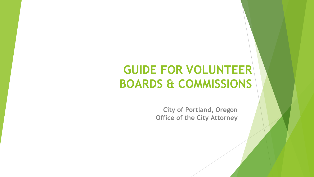## **GUIDE FOR VOLUNTEER BOARDS & COMMISSIONS**

**City of Portland, Oregon Office of the City Attorney**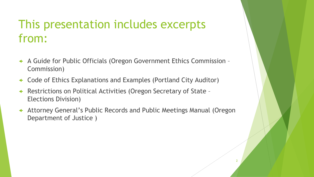## This presentation includes excerpts from:

- A Guide for Public Officials (Oregon Government Ethics Commission Commission)
- Code of Ethics Explanations and Examples (Portland City Auditor)
- Restrictions on Political Activities (Oregon Secretary of State Elections Division)
- Attorney General's Public Records and Public Meetings Manual (Oregon Department of Justice )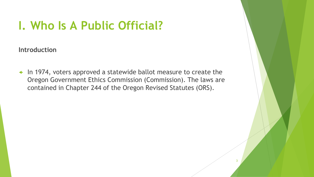## **I. Who Is A Public Official?**

**Introduction**

 In 1974, voters approved a statewide ballot measure to create the Oregon Government Ethics Commission (Commission). The laws are contained in Chapter 244 of the Oregon Revised Statutes (ORS).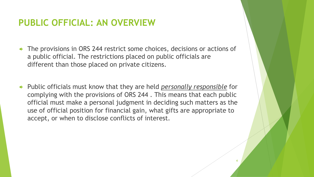## **PUBLIC OFFICIAL: AN OVERVIEW**

- The provisions in ORS 244 restrict some choices, decisions or actions of a public official. The restrictions placed on public officials are different than those placed on private citizens.
- Public officials must know that they are held *personally responsible* for complying with the provisions of ORS 244 . This means that each public official must make a personal judgment in deciding such matters as the use of official position for financial gain, what gifts are appropriate to accept, or when to disclose conflicts of interest.

4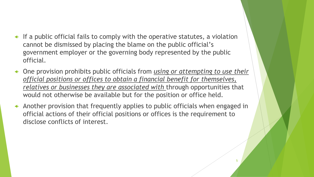- $\leftarrow$  If a public official fails to comply with the operative statutes, a violation cannot be dismissed by placing the blame on the public official's government employer or the governing body represented by the public official.
- One provision prohibits public officials from *using or attempting to use their official positions or offices to obtain a financial benefit for themselves, relatives or businesses they are associated with* through opportunities that would not otherwise be available but for the position or office held.
- Another provision that frequently applies to public officials when engaged in official actions of their official positions or offices is the requirement to disclose conflicts of interest.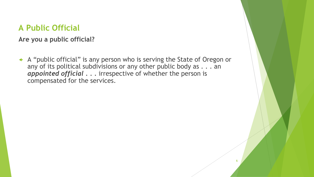### **A Public Official**

**Are you a public official?**

 A "public official" is any person who is serving the State of Oregon or any of its political subdivisions or any other public body as . . . an *appointed official . . .* irrespective of whether the person is compensated for the services.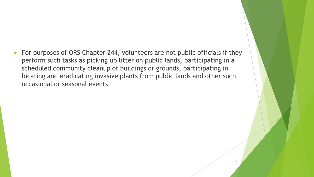For purposes of ORS Chapter 244, volunteers are not public officials if they perform such tasks as picking up litter on public lands, participating in a scheduled community cleanup of buildings or grounds, participating in locating and eradicating invasive plants from public lands and other such occasional or seasonal events.

7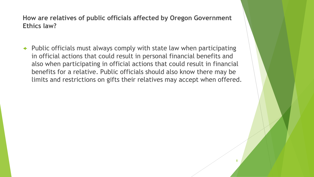### **How are relatives of public officials affected by Oregon Government Ethics law?**

 Public officials must always comply with state law when participating in official actions that could result in personal financial benefits and also when participating in official actions that could result in financial benefits for a relative. Public officials should also know there may be limits and restrictions on gifts their relatives may accept when offered.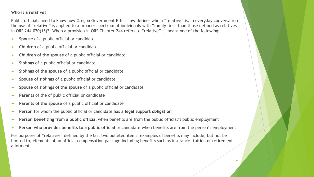#### **Who is a relative?**

Public officials need to know how Oregon Government Ethics law defines who a "relative" is. In everyday conversation the use of "relative" is applied to a broader spectrum of individuals with "family ties" than those defined as relatives in ORS 244.020(15)2. When a provision in ORS Chapter 244 refers to "relative" it means one of the following:

- **Spouse** of a public official or candidate
- **Children** of a public official or candidate
- **Children of the spouse** of a public official or candidate
- **Siblings** of a public official or candidate
- **Siblings of the spouse** of a public official or candidate
- **Spouse of siblings** of a public official or candidate
- **Spouse of siblings of the spouse** of a public official or candidate
- **Parents** of the of public official or candidate
- **Parents of the spouse** of a public official or candidate
- **Person** for whom the public official or candidate has a **legal support obligation**
- **Person benefiting from a public official** when benefits are from the public official's public employment
- **Person who provides benefits to a public official** or candidate when benefits are from the person's employment

For purposes of "relatives" defined by the last two bulleted items, examples of benefits may include, but not be limited to, elements of an official compensation package including benefits such as insurance, tuition or retirement allotments.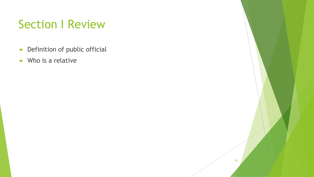## Section I Review

- Definition of public official
- Who is a relative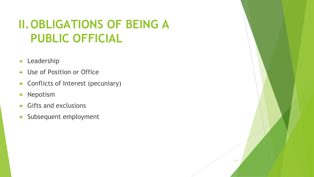## **II.OBLIGATIONS OF BEING A PUBLIC OFFICIAL**

- Leadership
- Use of Position or Office
- Conflicts of Interest (pecuniary)
- Nepotism
- Gifts and exclusions
- Subsequent employment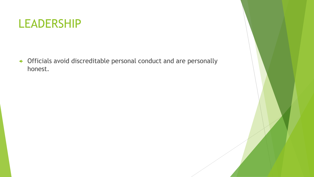

 Officials avoid discreditable personal conduct and are personally honest.

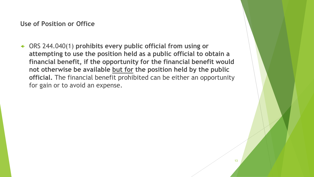**Use of Position or Office**

 ORS 244.040(1) **prohibits every public official from using or attempting to use the position held as a public official to obtain a financial benefit, if the opportunity for the financial benefit would not otherwise be available but for the position held by the public official.** The financial benefit prohibited can be either an opportunity for gain or to avoid an expense.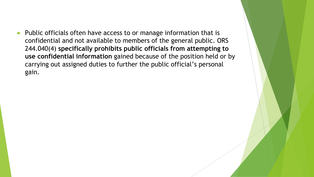$\leftarrow$  Public officials often have access to or manage information that is confidential and not available to members of the general public. ORS 244.040(4) **specifically prohibits public officials from attempting to use confidential information** gained because of the position held or by carrying out assigned duties to further the public official's personal gain.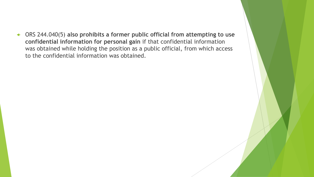ORS 244.040(5) **also prohibits a former public official from attempting to use confidential information for personal gain** if that confidential information was obtained while holding the position as a public official, from which access to the confidential information was obtained.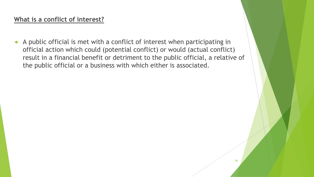### **What is a conflict of interest?**

 $\triangle$  A public official is met with a conflict of interest when participating in official action which could (potential conflict) or would (actual conflict) result in a financial benefit or detriment to the public official, a relative of the public official or a business with which either is associated.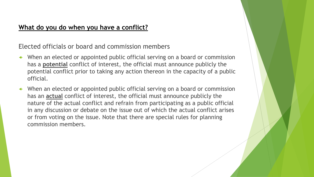### **What do you do when you have a conflict?**

Elected officials or board and commission members

- When an elected or appointed public official serving on a board or commission has a **potential** conflict of interest, the official must announce publicly the potential conflict prior to taking any action thereon in the capacity of a public official.
- When an elected or appointed public official serving on a board or commission has an **actual** conflict of interest, the official must announce publicly the nature of the actual conflict and refrain from participating as a public official in any discussion or debate on the issue out of which the actual conflict arises or from voting on the issue. Note that there are special rules for planning commission members.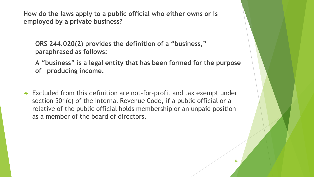**How do the laws apply to a public official who either owns or is employed by a private business?**

**ORS 244.020(2) provides the definition of a "business," paraphrased as follows:**

**A "business" is a legal entity that has been formed for the purpose of producing income.**

 Excluded from this definition are not-for-profit and tax exempt under section 501(c) of the Internal Revenue Code, if a public official or a relative of the public official holds membership or an unpaid position as a member of the board of directors.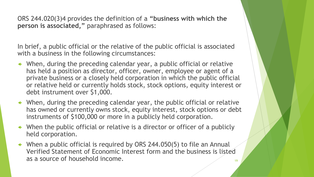ORS 244.020(3)4 provides the definition of a **"business with which the person is associated,"** paraphrased as follows:

In brief, a public official or the relative of the public official is associated with a business in the following circumstances:

- When, during the preceding calendar year, a public official or relative has held a position as director, officer, owner, employee or agent of a private business or a closely held corporation in which the public official or relative held or currently holds stock, stock options, equity interest or debt instrument over \$1,000.
- When, during the preceding calendar year, the public official or relative has owned or currently owns stock, equity interest, stock options or debt instruments of \$100,000 or more in a publicly held corporation.
- When the public official or relative is a director or officer of a publicly held corporation.
- When a public official is required by ORS 244.050(5) to file an Annual Verified Statement of Economic Interest form and the business is listed as a source of household income.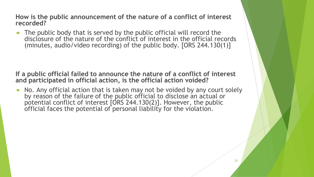**How is the public announcement of the nature of a conflict of interest recorded?**

 The public body that is served by the public official will record the disclosure of the nature of the conflict of interest in the official records (minutes, audio/video recording) of the public body. [ORS 244.130(1)]

**If a public official failed to announce the nature of a conflict of interest and participated in official action, is the official action voided?**

 No. Any official action that is taken may not be voided by any court solely by reason of the failure of the public official to disclose an actual or potential conflict of interest [ORS 244.130(2)]. However, the public official faces the potential of personal liability for the violation.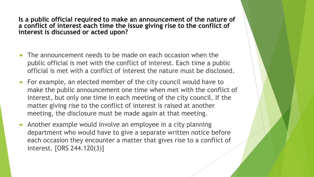**Is a public official required to make an announcement of the nature of a conflict of interest each time the issue giving rise to the conflict of interest is discussed or acted upon?**

- $\leftarrow$  The announcement needs to be made on each occasion when the public official is met with the conflict of interest. Each time a public official is met with a conflict of interest the nature must be disclosed.
- For example, an elected member of the city council would have to make the public announcement one time when met with the conflict of interest, but only one time in each meeting of the city council. If the matter giving rise to the conflict of interest is raised at another meeting, the disclosure must be made again at that meeting.
- $\triangleleft$  Another example would involve an employee in a city planning department who would have to give a separate written notice before each occasion they encounter a matter that gives rise to a conflict of interest. [ORS 244.120(3)]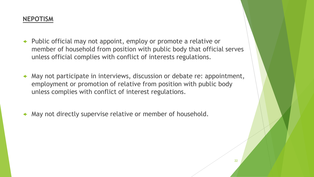### **NEPOTISM**

- Public official may not appoint, employ or promote a relative or member of household from position with public body that official serves unless official complies with conflict of interests regulations.
- May not participate in interviews, discussion or debate re: appointment, employment or promotion of relative from position with public body unless complies with conflict of interest regulations.
- May not directly supervise relative or member of household.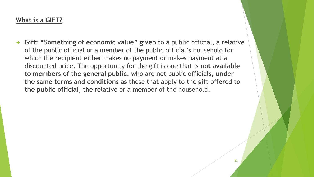### **What is a GIFT?**

 **Gift: "Something of economic value" given** to a public official, a relative of the public official or a member of the public official's household for which the recipient either makes no payment or makes payment at a discounted price. The opportunity for the gift is one that is **not available to members of the general public**, who are not public officials, **under the same terms and conditions as** those that apply to the gift offered to **the public official**, the relative or a member of the household.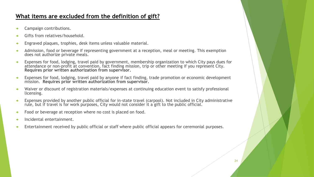#### **What items are excluded from the definition of gift?**

- Campaign contributions.
- Gifts from relatives/household.
- Engraved plaques, trophies, desk items unless valuable material.
- Admission, food or beverage if representing government at a reception, meal or meeting. This exemption does not authorize private meals.
- Expenses for food, lodging, travel paid by government, membership organization to which City pays dues for attendance or non-profit at convention, fact finding mission, trip or other meeting if you represent City. **Requires prior written authorization from supervisor.**
- Expenses for food, lodging, travel paid by anyone if fact finding, trade promotion or economic development mission. **Requires prior written authorization from supervisor.**
- Waiver or discount of registration materials/expenses at continuing education event to satisfy professional licensing.
- Expenses provided by another public official for in-state travel (carpool). Not included in City administrative rule, but if travel is for work purposes, City would not consider it a gift to the public official.
- Food or beverage at reception where no cost is placed on food.
- Incidental entertainment.
- Entertainment received by public official or staff where public official appears for ceremonial purposes.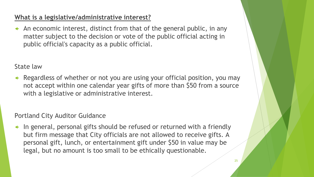### **What is a legislative/administrative interest?**

 $\triangle$  An economic interest, distinct from that of the general public, in any matter subject to the decision or vote of the public official acting in public official's capacity as a public official.

State law

 Regardless of whether or not you are using your official position, you may not accept within one calendar year gifts of more than \$50 from a source with a legislative or administrative interest.

Portland City Auditor Guidance

 In general, personal gifts should be refused or returned with a friendly but firm message that City officials are not allowed to receive gifts. A personal gift, lunch, or entertainment gift under \$50 in value may be legal, but no amount is too small to be ethically questionable.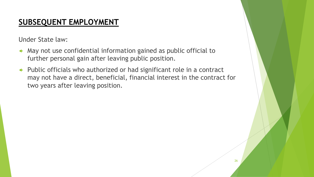## **SUBSEQUENT EMPLOYMENT**

Under State law:

- May not use confidential information gained as public official to further personal gain after leaving public position.
- Public officials who authorized or had significant role in a contract may not have a direct, beneficial, financial interest in the contract for two years after leaving position.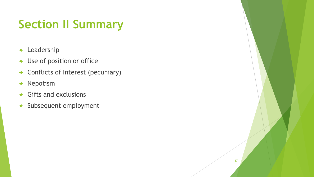## **Section II Summary**

- Leadership
- Use of position or office
- Conflicts of Interest (pecuniary)
- Nepotism
- Gifts and exclusions
- Subsequent employment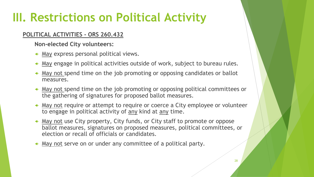## **III. Restrictions on Political Activity**

### **POLITICAL ACTIVITIES - ORS 260.432**

**Non-elected City volunteers:**

- May express personal political views.
- May engage in political activities outside of work, subject to bureau rules.
- May not spend time on the job promoting or opposing candidates or ballot measures.
- May not spend time on the job promoting or opposing political committees or the gathering of signatures for proposed ballot measures.
- May not require or attempt to require or coerce a City employee or volunteer to engage in political activity of any kind at any time.
- A May not use City property, City funds, or City staff to promote or oppose ballot measures, signatures on proposed measures, political committees, or election or recall of officials or candidates.
- May not serve on or under any committee of a political party.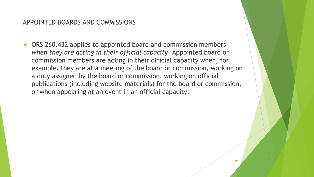#### APPOINTED BOARDS AND COMMISSIONS

 ORS 260.432 applies to appointed board and commission members *when they are acting in their official capacity*. Appointed board or commission members are acting in their official capacity when, for example, they are at a meeting of the board or commission, working on a duty assigned by the board or commission, working on official publications (including website materials) for the board or commission, or when appearing at an event in an official capacity.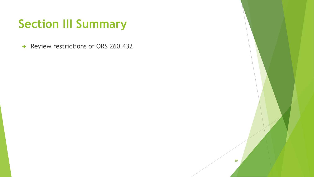## **Section III Summary**

← Review restrictions of ORS 260.432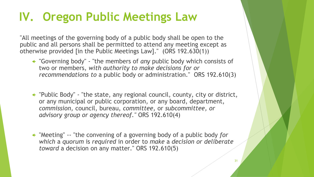## **IV. Oregon Public Meetings Law**

"All meetings of the governing body of a public body shall be open to the public and all persons shall be permitted to attend any meeting except as otherwise provided [in the Public Meetings Law]." (ORS 192.630(1))

- "Governing body" "the members of *any* public body which consists of two or members, *with authority to make decisions for or recommendations to* a public body or administration." ORS 192.610(3)
- "Public Body" "the state, any regional council, county, city or district, or any municipal or public corporation, or any board, department, *commission,* council, bureau, *committee,* or *subcommittee, or advisory group or agency thereof."* ORS 192.610(4)
- "Meeting" -- "the convening of a governing body of a public body *for which* a *quorum* is *required* in order to *make* a *decision or deliberate toward* a decision on any matter." ORS 192.610(5)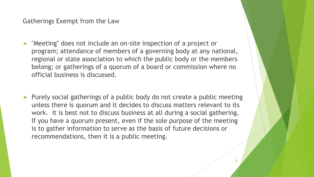Gatherings Exempt from the Law

- "Meeting" does not include an on-site inspection of a project or program; attendance of members of a governing body at any national, regional or state association to which the public body or the members belong; or gatherings of a quorum of a board or commission where no official business is discussed.
- Purely social gatherings of a public body do not create a public meeting unless there is quorum and it decides to discuss matters relevant to its work. It is best not to discuss business at all during a social gathering. If you have a quorum present, even if the sole purpose of the meeting is to gather information to serve as the basis of future decisions or recommendations, then it is a public meeting.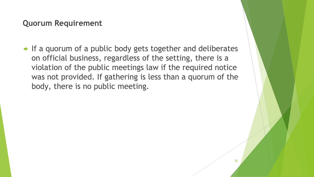### **Quorum Requirement**

 $\leftarrow$  If a quorum of a public body gets together and deliberates on official business, regardless of the setting, there is a violation of the public meetings law if the required notice was not provided. If gathering is less than a quorum of the body, there is no public meeting.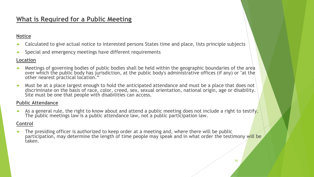### **What is Required for a Public Meeting**

#### **Notice**

- Calculated to give actual notice to interested persons States time and place, lists principle subjects
- Special and emergency meetings have different requirements

#### **Location**

- Meetings of governing bodies of public bodies shall be held within the geographic boundaries of the area over which the public body has jurisdiction, at the public body's administrative offices (if any) or "at the other nearest practical location.
- Must be at a place largest enough to hold the anticipated attendance and must be a place that does not discriminate on the basis of race, color, creed, sex, sexual orientation, national origin, age or disability. Site must be one that people with disabilities can access.

#### **Public Attendance**

As a general rule, the right to know about and attend a public meeting does not include a right to testify. The public meetings law is a public attendance law, not a public participation law.

#### **Control**

 The presiding officer is authorized to keep order at a meeting and, where there will be public participation, may determine the length of time people may speak and in what order the testimony will be taken.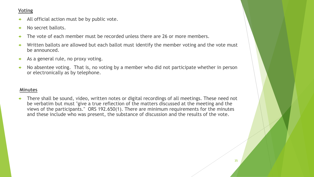#### **Voting**

- All official action must be by public vote.
- No secret ballots.
- $\leftarrow$  The vote of each member must be recorded unless there are 26 or more members.
- $\leftarrow$  Written ballots are allowed but each ballot must identify the member voting and the vote must be announced.
- $\leftarrow$  As a general rule, no proxy voting.
- $\leftrightarrow$  No absentee voting. That is, no voting by a member who did not participate whether in person or electronically as by telephone.

#### **Minutes**

 There shall be sound, video, written notes or digital recordings of all meetings. These need not be verbatim but must "give a true reflection of the matters discussed at the meeting and the views of the participants." ORS 192.650(1). There are minimum requirements for the minutes and these include who was present, the substance of discussion and the results of the vote.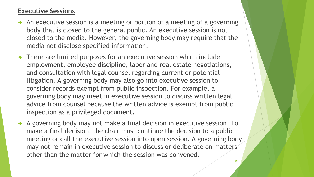### **Executive Sessions**

- $\triangleleft$  An executive session is a meeting or portion of a meeting of a governing body that is closed to the general public. An executive session is not closed to the media. However, the governing body may require that the media not disclose specified information.
- There are limited purposes for an executive session which include employment, employee discipline, labor and real estate negotiations, and consultation with legal counsel regarding current or potential litigation. A governing body may also go into executive session to consider records exempt from public inspection. For example, a governing body may meet in executive session to discuss written legal advice from counsel because the written advice is exempt from public inspection as a privileged document.
- A governing body may not make a final decision in executive session. To make a final decision, the chair must continue the decision to a public meeting or call the executive session into open session. A governing body may not remain in executive session to discuss or deliberate on matters other than the matter for which the session was convened.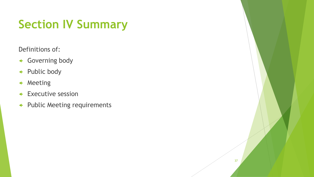## **Section IV Summary**

Definitions of:

- Governing body
- ← Public body
- Meeting
- **+ Executive session**
- Public Meeting requirements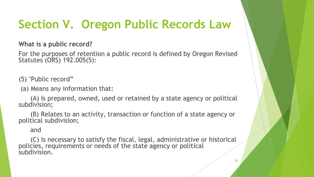## **Section V. Oregon Public Records Law**

**What is a public record?**

For the purposes of retention a public record is defined by Oregon Revised Statutes (ORS) 192.005(5):

(5) "Public record"

(a) Means any information that:

(A) Is prepared, owned, used or retained by a state agency or political subdivision;

(B) Relates to an activity, transaction or function of a state agency or political subdivision;

and

(C) Is necessary to satisfy the fiscal, legal, administrative or historical policies, requirements or needs of the state agency or political subdivision.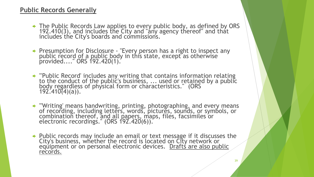### **Public Records Generally**

- The Public Records Law applies to every public body, as defined by ORS 192.410(3), and includes the City and "any agency thereof" and that includes the City's boards and commissions.
- Presumption for Disclosure "Every person has a right to inspect any public record of a public body in this state, except as otherwise provided...." ORS 192.420(1).
- "'Public Record' includes any writing that contains information relating to the conduct of the public's business, ... used or retained by a public body regardless of physical form or characteristics." (ORS 192.410(4)(a)).
- '"Writing' means handwriting, printing, photographing, and every means of recording, including letters, words, pictures, sounds, or symbols, or combination thereof, and all papers, maps, files, facsimiles or electronic recordings." (ORS 192.420(6)).
- Public records may include an email or text message if it discusses the City's business, whether the record is located on City network or equipment or on personal electronic devices. Drafts are also public records.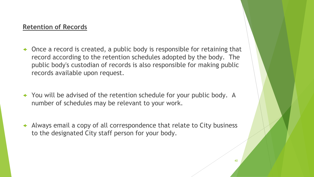### **Retention of Records**

- Once a record is created, a public body is responsible for retaining that record according to the retention schedules adopted by the body. The public body's custodian of records is also responsible for making public records available upon request.
- You will be advised of the retention schedule for your public body. A number of schedules may be relevant to your work.
- Always email a copy of all correspondence that relate to City business to the designated City staff person for your body.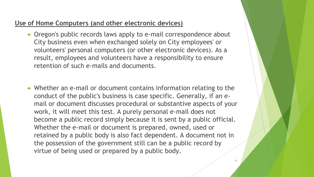### **Use of Home Computers (and other electronic devices)**

- Oregon's public records laws apply to e-mail correspondence about City business even when exchanged solely on City employees' or volunteers' personal computers (or other electronic devices). As a result, employees and volunteers have a responsibility to ensure retention of such e-mails and documents.
- Whether an e-mail or document contains information relating to the conduct of the public's business is case specific. Generally, if an email or document discusses procedural or substantive aspects of your work, it will meet this test. A purely personal e-mail does not become a public record simply because it is sent by a public official. Whether the e-mail or document is prepared, owned, used or retained by a public body is also fact dependent. A document not in the possession of the government still can be a public record by virtue of being used or prepared by a public body.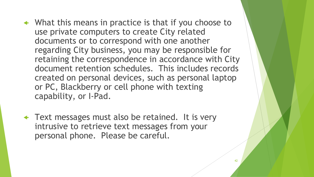- What this means in practice is that if you choose to use private computers to create City related documents or to correspond with one another regarding City business, you may be responsible for retaining the correspondence in accordance with City document retention schedules. This includes records created on personal devices, such as personal laptop or PC, Blackberry or cell phone with texting capability, or I-Pad.
- ← Text messages must also be retained. It is very intrusive to retrieve text messages from your personal phone. Please be careful.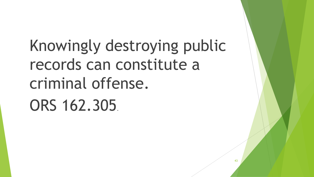Knowingly destroying public records can constitute a criminal offense. ORS 162.305.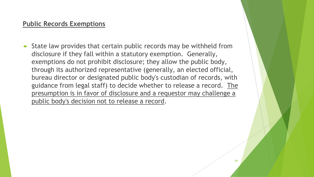### **Public Records Exemptions**

 $\triangleleft$  State law provides that certain public records may be withheld from disclosure if they fall within a statutory exemption. Generally, exemptions do not prohibit disclosure; they allow the public body, through its authorized representative (generally, an elected official, bureau director or designated public body's custodian of records, with guidance from legal staff) to decide whether to release a record. The presumption is in favor of disclosure and a requestor may challenge a public body's decision not to release a record.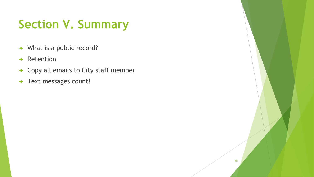## **Section V. Summary**

- What is a public record?
- Retention
- Copy all emails to City staff member
- Text messages count!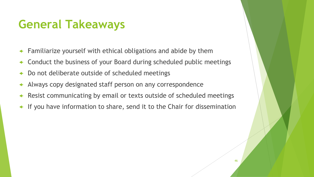## **General Takeaways**

- Familiarize yourself with ethical obligations and abide by them
- Conduct the business of your Board during scheduled public meetings
- Do not deliberate outside of scheduled meetings
- Always copy designated staff person on any correspondence
- Resist communicating by email or texts outside of scheduled meetings
- If you have information to share, send it to the Chair for dissemination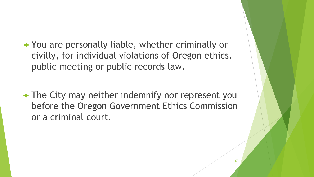You are personally liable, whether criminally or civilly, for individual violations of Oregon ethics, public meeting or public records law.

 The City may neither indemnify nor represent you before the Oregon Government Ethics Commission or a criminal court.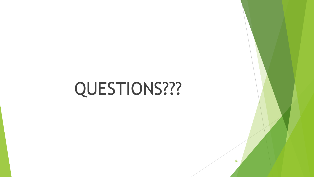# QUESTIONS???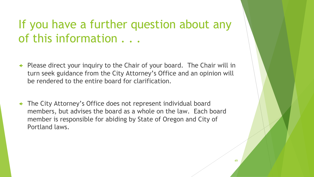## If you have a further question about any of this information . . .

- Please direct your inquiry to the Chair of your board. The Chair will in turn seek guidance from the City Attorney's Office and an opinion will be rendered to the entire board for clarification.
- The City Attorney's Office does not represent individual board members, but advises the board as a whole on the law. Each board member is responsible for abiding by State of Oregon and City of Portland laws.